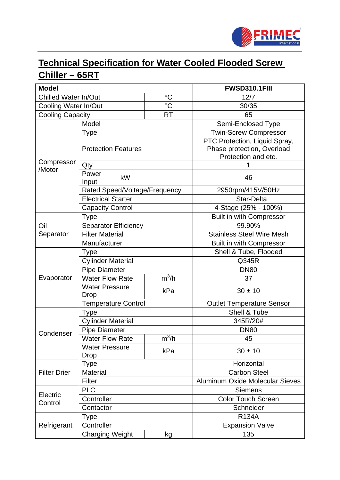

# **Technical Specification for Water Cooled Flooded Screw Chiller – 65RT**

| <b>Model</b>            |                               |    | <b>FWSD310.1FIII</b> |                                  |
|-------------------------|-------------------------------|----|----------------------|----------------------------------|
| Chilled Water In/Out    |                               |    | $\rm ^{\circ}C$      | 12/7                             |
| Cooling Water In/Out    |                               |    | $^{\circ}C$          | 30/35                            |
| <b>Cooling Capacity</b> |                               |    | <b>RT</b>            | 65                               |
| Compressor<br>/Motor    | Model                         |    |                      | Semi-Enclosed Type               |
|                         | <b>Type</b>                   |    |                      | Twin-Screw Compressor            |
|                         |                               |    |                      | PTC Protection, Liquid Spray,    |
|                         | <b>Protection Features</b>    |    |                      | Phase protection, Overload       |
|                         |                               |    |                      | Protection and etc.              |
|                         | Qty                           |    |                      | 1                                |
|                         | Power<br>Input                | kW |                      | 46                               |
|                         | Rated Speed/Voltage/Frequency |    |                      | 2950rpm/415V/50Hz                |
|                         | <b>Electrical Starter</b>     |    |                      | <b>Star-Delta</b>                |
|                         | <b>Capacity Control</b>       |    |                      | 4-Stage (25% - 100%)             |
|                         | <b>Type</b>                   |    |                      | <b>Built in with Compressor</b>  |
| Oil                     | Separator Efficiency          |    |                      | 99.90%                           |
| Separator               | <b>Filter Material</b>        |    |                      | <b>Stainless Steel Wire Mesh</b> |
|                         | Manufacturer                  |    |                      | <b>Built in with Compressor</b>  |
|                         | <b>Type</b>                   |    |                      | Shell & Tube, Flooded            |
|                         | <b>Cylinder Material</b>      |    |                      | Q345R                            |
|                         | <b>Pipe Diameter</b>          |    |                      | <b>DN80</b>                      |
| Evaporator              | <b>Water Flow Rate</b>        |    | $m^3/h$              | 37                               |
|                         | <b>Water Pressure</b>         |    | kPa                  | $30 \pm 10$                      |
|                         | <b>Drop</b>                   |    |                      |                                  |
|                         | <b>Temperature Control</b>    |    |                      | <b>Outlet Temperature Sensor</b> |
|                         | <b>Type</b>                   |    |                      | Shell & Tube                     |
|                         | <b>Cylinder Material</b>      |    |                      | 345R/20#                         |
| Condenser               | <b>Pipe Diameter</b>          |    |                      | <b>DN80</b>                      |
|                         | <b>Water Flow Rate</b>        |    | $m^3/h$              | 45                               |
|                         | <b>Water Pressure</b>         |    | kPa                  | $30 \pm 10$                      |
| <b>Filter Drier</b>     | Drop<br><b>Type</b>           |    |                      | Horizontal                       |
|                         | <b>Material</b>               |    |                      | <b>Carbon Steel</b>              |
|                         | Filter                        |    |                      | Aluminum Oxide Molecular Sieves  |
|                         | <b>PLC</b>                    |    |                      | <b>Siemens</b>                   |
| Electric<br>Control     | Controller                    |    |                      | <b>Color Touch Screen</b>        |
|                         | Contactor                     |    |                      | Schneider                        |
| Refrigerant             | <b>Type</b>                   |    |                      | <b>R134A</b>                     |
|                         | Controller                    |    |                      | <b>Expansion Valve</b>           |
|                         | <b>Charging Weight</b><br>kg  |    |                      | 135                              |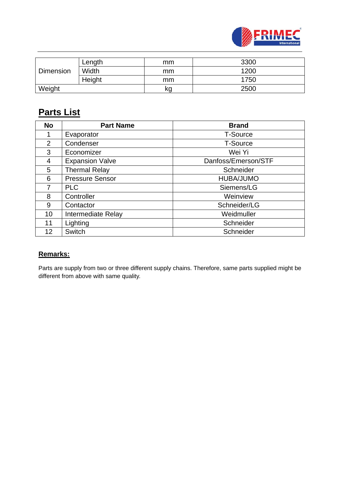

| <b>Dimension</b> | Length | mm | 3300 |
|------------------|--------|----|------|
|                  | Width  | mm | 1200 |
|                  | Height | mm | 1750 |
| Weight           |        | kg | 2500 |

## **Parts List**

| <b>No</b>      | <b>Part Name</b>       | <b>Brand</b>        |
|----------------|------------------------|---------------------|
|                | Evaporator             | <b>T-Source</b>     |
| $\overline{2}$ | Condenser              | <b>T-Source</b>     |
| 3              | Economizer             | Wei Yi              |
| 4              | <b>Expansion Valve</b> | Danfoss/Emerson/STF |
| 5              | <b>Thermal Relay</b>   | Schneider           |
| 6              | <b>Pressure Sensor</b> | HUBA/JUMO           |
| 7              | <b>PLC</b>             | Siemens/LG          |
| 8              | Controller             | Weinview            |
| 9              | Contactor              | Schneider/LG        |
| 10             | Intermediate Relay     | Weidmuller          |
| 11             | Lighting               | Schneider           |
| 12             | <b>Switch</b>          | Schneider           |

#### **Remarks:**

Parts are supply from two or three different supply chains. Therefore, same parts supplied might be different from above with same quality.